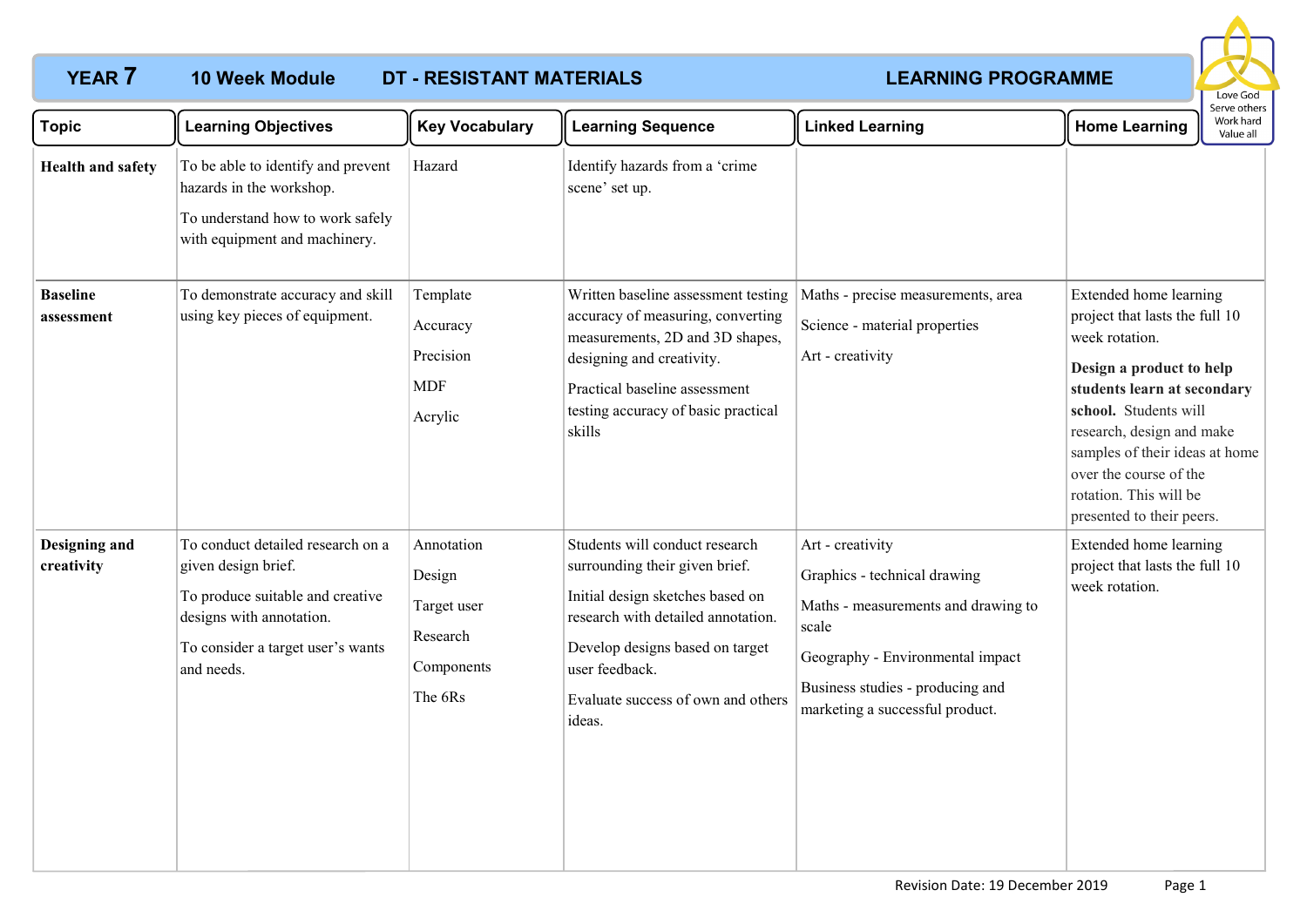# **YEAR 7 LEARNING PROGRAMME 10 Week Module DT - RESISTANT MATERIALS**



| <b>Topic</b>                  | <b>Learning Objectives</b>                                                                                                                                                  | <b>Key Vocabulary</b>                                                    | <b>Learning Sequence</b>                                                                                                                                                                                                                        | <b>Linked Learning</b>                                                                                                                                                                                      | <b>Home Learning</b>                                                                                                                                                                                                                                                                                           | Serve others<br>Work hard<br>Value all |
|-------------------------------|-----------------------------------------------------------------------------------------------------------------------------------------------------------------------------|--------------------------------------------------------------------------|-------------------------------------------------------------------------------------------------------------------------------------------------------------------------------------------------------------------------------------------------|-------------------------------------------------------------------------------------------------------------------------------------------------------------------------------------------------------------|----------------------------------------------------------------------------------------------------------------------------------------------------------------------------------------------------------------------------------------------------------------------------------------------------------------|----------------------------------------|
| <b>Health and safety</b>      | To be able to identify and prevent<br>hazards in the workshop.<br>To understand how to work safely<br>with equipment and machinery.                                         | Hazard                                                                   | Identify hazards from a 'crime<br>scene' set up.                                                                                                                                                                                                |                                                                                                                                                                                                             |                                                                                                                                                                                                                                                                                                                |                                        |
| <b>Baseline</b><br>assessment | To demonstrate accuracy and skill<br>using key pieces of equipment.                                                                                                         | Template<br>Accuracy<br>Precision<br><b>MDF</b><br>Acrylic               | Written baseline assessment testing<br>accuracy of measuring, converting<br>measurements, 2D and 3D shapes,<br>designing and creativity.<br>Practical baseline assessment<br>testing accuracy of basic practical<br>skills                      | Maths - precise measurements, area<br>Science - material properties<br>Art - creativity                                                                                                                     | Extended home learning<br>project that lasts the full 10<br>week rotation.<br>Design a product to help<br>students learn at secondary<br>school. Students will<br>research, design and make<br>samples of their ideas at home<br>over the course of the<br>rotation. This will be<br>presented to their peers. |                                        |
| Designing and<br>creativity   | To conduct detailed research on a<br>given design brief.<br>To produce suitable and creative<br>designs with annotation.<br>To consider a target user's wants<br>and needs. | Annotation<br>Design<br>Target user<br>Research<br>Components<br>The 6Rs | Students will conduct research<br>surrounding their given brief.<br>Initial design sketches based on<br>research with detailed annotation.<br>Develop designs based on target<br>user feedback.<br>Evaluate success of own and others<br>ideas. | Art - creativity<br>Graphics - technical drawing<br>Maths - measurements and drawing to<br>scale<br>Geography - Environmental impact<br>Business studies - producing and<br>marketing a successful product. | Extended home learning<br>project that lasts the full 10<br>week rotation.                                                                                                                                                                                                                                     |                                        |